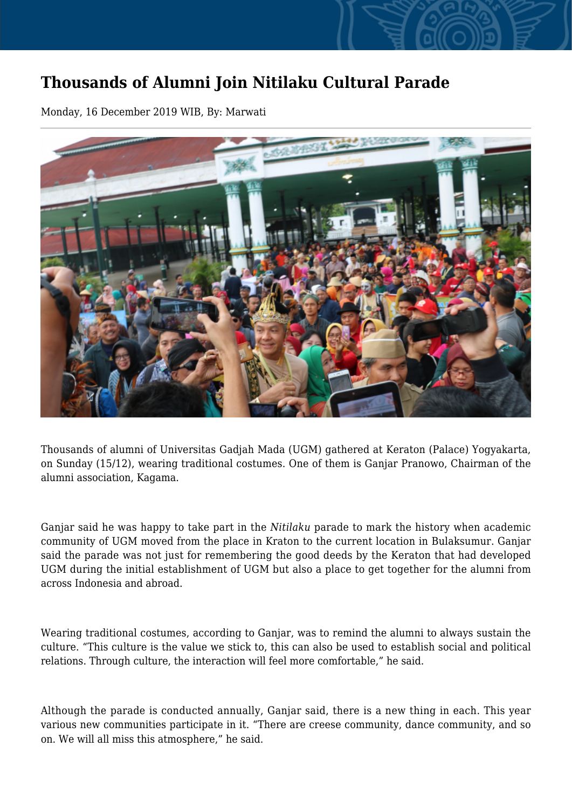## **Thousands of Alumni Join Nitilaku Cultural Parade**

Monday, 16 December 2019 WIB, By: Marwati



Thousands of alumni of Universitas Gadjah Mada (UGM) gathered at Keraton (Palace) Yogyakarta, on Sunday (15/12), wearing traditional costumes. One of them is Ganjar Pranowo, Chairman of the alumni association, Kagama.

Ganjar said he was happy to take part in the *Nitilaku* parade to mark the history when academic community of UGM moved from the place in Kraton to the current location in Bulaksumur. Ganjar said the parade was not just for remembering the good deeds by the Keraton that had developed UGM during the initial establishment of UGM but also a place to get together for the alumni from across Indonesia and abroad.

Wearing traditional costumes, according to Ganjar, was to remind the alumni to always sustain the culture. "This culture is the value we stick to, this can also be used to establish social and political relations. Through culture, the interaction will feel more comfortable," he said.

Although the parade is conducted annually, Ganjar said, there is a new thing in each. This year various new communities participate in it. "There are creese community, dance community, and so on. We will all miss this atmosphere," he said.